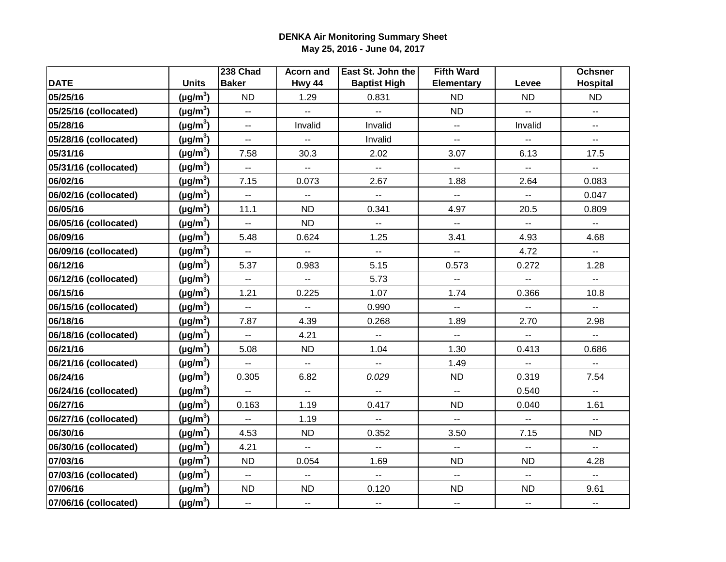|                       |               | 238 Chad                  | <b>Acorn and</b>          | East St. John the        | <b>Fifth Ward</b>        |                                               | <b>Ochsner</b>            |
|-----------------------|---------------|---------------------------|---------------------------|--------------------------|--------------------------|-----------------------------------------------|---------------------------|
| <b>DATE</b>           | <b>Units</b>  | <b>Baker</b>              | Hwy 44                    | <b>Baptist High</b>      | <b>Elementary</b>        | Levee                                         | <b>Hospital</b>           |
| 05/25/16              | $(\mu g/m^3)$ | <b>ND</b>                 | 1.29                      | 0.831                    | <b>ND</b>                | <b>ND</b>                                     | <b>ND</b>                 |
| 05/25/16 (collocated) | $(\mu g/m^3)$ | $\mathbb{L}^{\mathbb{L}}$ | ш.                        | ш.                       | <b>ND</b>                | $\mathbb{Z}^{\mathbb{Z}}$                     | $\mathbb{L} \mathbb{L}$   |
| 05/28/16              | $(\mu g/m^3)$ | $\overline{\phantom{a}}$  | Invalid                   | Invalid                  | $\mathbb{L} \mathbb{L}$  | Invalid                                       | $\mathbf{u}$              |
| 05/28/16 (collocated) | $(\mu g/m^3)$ | $\overline{\phantom{a}}$  | Ξ.                        | Invalid                  | --                       | н,                                            | $\overline{\phantom{a}}$  |
| 05/31/16              | $(\mu g/m^3)$ | 7.58                      | 30.3                      | 2.02                     | 3.07                     | 6.13                                          | 17.5                      |
| 05/31/16 (collocated) | $(\mu g/m^3)$ | $\overline{\phantom{a}}$  | --                        | Щ,                       | $\overline{\phantom{a}}$ | --                                            | $\overline{\phantom{a}}$  |
| 06/02/16              | $(\mu g/m^3)$ | 7.15                      | 0.073                     | 2.67                     | 1.88                     | 2.64                                          | 0.083                     |
| 06/02/16 (collocated) | $(\mu g/m^3)$ | $\mathbb{L}^{\mathbb{L}}$ | u.                        | Щ,                       | $\mathbb{L}^2$           | $\mathbb{L}^2$                                | 0.047                     |
| 06/05/16              | $(\mu g/m^3)$ | 11.1                      | <b>ND</b>                 | 0.341                    | 4.97                     | 20.5                                          | 0.809                     |
| 06/05/16 (collocated) | $(\mu g/m^3)$ | $\overline{\phantom{a}}$  | <b>ND</b>                 | $\overline{\phantom{a}}$ | $\overline{\phantom{a}}$ | $\mathbb{L}^{\mathbb{L}}$                     | $\overline{\phantom{a}}$  |
| 06/09/16              | $(\mu g/m^3)$ | 5.48                      | 0.624                     | 1.25                     | 3.41                     | 4.93                                          | 4.68                      |
| 06/09/16 (collocated) | $(\mu g/m^3)$ | $\overline{\phantom{a}}$  | Ξ.                        | Ξ.                       | $\overline{\phantom{a}}$ | 4.72                                          | $\sim$                    |
| 06/12/16              | $(\mu g/m^3)$ | 5.37                      | 0.983                     | 5.15                     | 0.573                    | 0.272                                         | 1.28                      |
| 06/12/16 (collocated) | $(\mu g/m^3)$ | $\overline{a}$            | u.                        | 5.73                     | $\mathbb{L} \mathbb{L}$  | $\overline{a}$                                | Ξ.                        |
| 06/15/16              | $(\mu g/m^3)$ | 1.21                      | 0.225                     | 1.07                     | 1.74                     | 0.366                                         | 10.8                      |
| 06/15/16 (collocated) | $(\mu g/m^3)$ | $\overline{a}$            | Ξ.                        | 0.990                    | $\mathbf{L}$             | u.                                            | ш.                        |
| 06/18/16              | $(\mu g/m^3)$ | 7.87                      | 4.39                      | 0.268                    | 1.89                     | 2.70                                          | 2.98                      |
| 06/18/16 (collocated) | $(\mu g/m^3)$ | $\overline{\phantom{a}}$  | 4.21                      | $\overline{\phantom{a}}$ | $\sim$                   | $\mathord{\hspace{1pt}\text{--}\hspace{1pt}}$ | $\mathbb{H}^{\mathbb{H}}$ |
| 06/21/16              | $(\mu g/m^3)$ | 5.08                      | <b>ND</b>                 | 1.04                     | 1.30                     | 0.413                                         | 0.686                     |
| 06/21/16 (collocated) | $(\mu g/m^3)$ | $\overline{\phantom{a}}$  | $\overline{a}$            | $\overline{\phantom{a}}$ | 1.49                     | $\overline{a}$                                | $\overline{\phantom{a}}$  |
| 06/24/16              | $(\mu g/m^3)$ | 0.305                     | 6.82                      | 0.029                    | <b>ND</b>                | 0.319                                         | 7.54                      |
| 06/24/16 (collocated) | $(\mu g/m^3)$ | $\overline{\phantom{a}}$  | $\mathbb{Z}^{\mathbb{Z}}$ | Щ,                       | Щ,                       | 0.540                                         | $\mathbb{L}^{\mathbb{L}}$ |
| 06/27/16              | $(\mu g/m^3)$ | 0.163                     | 1.19                      | 0.417                    | <b>ND</b>                | 0.040                                         | 1.61                      |
| 06/27/16 (collocated) | $(\mu g/m^3)$ | Ξ.                        | 1.19                      | $\overline{\phantom{a}}$ | $\mathbb{L} \mathbb{L}$  | Ξ.                                            | $\mathbb{H}^{\mathbb{H}}$ |
| 06/30/16              | $(\mu g/m^3)$ | 4.53                      | <b>ND</b>                 | 0.352                    | 3.50                     | 7.15                                          | <b>ND</b>                 |
| 06/30/16 (collocated) | $(\mu g/m^3)$ | 4.21                      | Щ,                        | $\overline{\phantom{a}}$ | $\overline{\phantom{a}}$ | $\overline{\phantom{a}}$                      | $\mathbb{H}^{\mathbb{H}}$ |
| 07/03/16              | $(\mu g/m^3)$ | <b>ND</b>                 | 0.054                     | 1.69                     | <b>ND</b>                | <b>ND</b>                                     | 4.28                      |
| 07/03/16 (collocated) | $(\mu g/m^3)$ | $\mathbf{u}$              | Ξ.                        | $\overline{\phantom{a}}$ | $\mathbf{u}$             | $\overline{\phantom{a}}$                      | $\overline{\phantom{a}}$  |
| 07/06/16              | $(\mu g/m^3)$ | <b>ND</b>                 | <b>ND</b>                 | 0.120                    | <b>ND</b>                | <b>ND</b>                                     | 9.61                      |
| 07/06/16 (collocated) | $(\mu g/m^3)$ | $\overline{\phantom{a}}$  | ۰.                        | --                       | $\overline{\phantom{a}}$ | $\overline{\phantom{a}}$                      | $\overline{\phantom{a}}$  |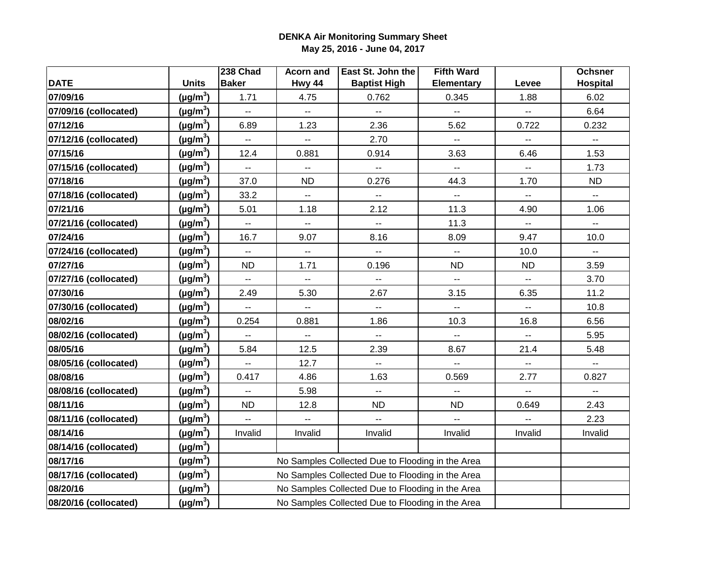|                       |                      | 238 Chad                 | <b>Acorn and</b>                                 | East St. John the                                | <b>Fifth Ward</b>                             |                | <b>Ochsner</b>           |
|-----------------------|----------------------|--------------------------|--------------------------------------------------|--------------------------------------------------|-----------------------------------------------|----------------|--------------------------|
| <b>DATE</b>           | <b>Units</b>         | <b>Baker</b>             | Hwy 44                                           | <b>Baptist High</b>                              | <b>Elementary</b>                             | Levee          | <b>Hospital</b>          |
| 07/09/16              | (µg/m $^3$ )         | 1.71                     | 4.75                                             | 0.762                                            | 0.345                                         | 1.88           | 6.02                     |
| 07/09/16 (collocated) | $(\mu g/m^3)$        | $\overline{a}$           | Щ,                                               | $\overline{a}$                                   | Щ,                                            | щ.             | 6.64                     |
| 07/12/16              | $(\mu g/m^3)$        | 6.89                     | 1.23                                             | 2.36                                             | 5.62                                          | 0.722          | 0.232                    |
| 07/12/16 (collocated) | (µg/m <sup>3</sup> ) | $\overline{\phantom{a}}$ | Ξ.                                               | 2.70                                             | $\overline{\phantom{a}}$                      | --             | $\overline{\phantom{a}}$ |
| 07/15/16              | $(\mu g/m^3)$        | 12.4                     | 0.881                                            | 0.914                                            | 3.63                                          | 6.46           | 1.53                     |
| 07/15/16 (collocated) | $(\mu g/m^3)$        | --                       | --                                               | Ξ.                                               | --                                            |                | 1.73                     |
| 07/18/16              | $(\mu g/m^3)$        | 37.0                     | <b>ND</b>                                        | 0.276                                            | 44.3                                          | 1.70           | <b>ND</b>                |
| 07/18/16 (collocated) | $(\mu g/m^3)$        | 33.2                     | $\overline{\phantom{a}}$                         | Ξ.                                               | $\mathord{\hspace{1pt}\text{--}\hspace{1pt}}$ | --             | $\overline{\phantom{a}}$ |
| 07/21/16              | $(\mu g/m^3)$        | 5.01                     | 1.18                                             | 2.12                                             | 11.3                                          | 4.90           | 1.06                     |
| 07/21/16 (collocated) | $(\mu g/m^3)$        | $\overline{\phantom{a}}$ | Щ,                                               | $\overline{\phantom{a}}$                         | 11.3                                          | --             | $\sim$ $\sim$            |
| 07/24/16              | $(\mu g/m^3)$        | 16.7                     | 9.07                                             | 8.16                                             | 8.09                                          | 9.47           | 10.0                     |
| 07/24/16 (collocated) | (µg/m <sup>3</sup> ) | $\overline{\phantom{a}}$ | Ξ.                                               | $\overline{\phantom{a}}$                         | $\overline{\phantom{a}}$                      | 10.0           | $\overline{\phantom{a}}$ |
| 07/27/16              | $(\mu g/m^3)$        | <b>ND</b>                | 1.71                                             | 0.196                                            | <b>ND</b>                                     | <b>ND</b>      | 3.59                     |
| 07/27/16 (collocated) | $(\mu g/m^3)$        | $\overline{\phantom{a}}$ | $\overline{\phantom{a}}$                         | --                                               | --                                            | --             | 3.70                     |
| 07/30/16              | (µg/m <sup>3</sup> ) | 2.49                     | 5.30                                             | 2.67                                             | 3.15                                          | 6.35           | 11.2                     |
| 07/30/16 (collocated) | $(\mu g/m^3)$        |                          | $\overline{a}$                                   | Ξ.                                               | $\overline{\phantom{a}}$                      |                | 10.8                     |
| 08/02/16              | $(\mu g/m^3)$        | 0.254                    | 0.881                                            | 1.86                                             | 10.3                                          | 16.8           | 6.56                     |
| 08/02/16 (collocated) | $(\mu g/m^3)$        | $\overline{\phantom{a}}$ | $\mathbb{H}^{\mathbb{H}}$                        | $\mathbf{L}$                                     | $\mathbf{L}$                                  | $\mathbf{L}$   | 5.95                     |
| 08/05/16              | $(\mu g/m^3)$        | 5.84                     | 12.5                                             | 2.39                                             | 8.67                                          | 21.4           | 5.48                     |
| 08/05/16 (collocated) | $(\mu g/m^3)$        |                          | 12.7                                             | ۰.                                               | $\overline{\phantom{a}}$                      | --             | --                       |
| 08/08/16              | $(\mu g/m^3)$        | 0.417                    | 4.86                                             | 1.63                                             | 0.569                                         | 2.77           | 0.827                    |
| 08/08/16 (collocated) | (µg/m <sup>3</sup> ) |                          | 5.98                                             | $\overline{\phantom{a}}$                         | $\overline{\phantom{a}}$                      | --             | $\overline{\phantom{a}}$ |
| 08/11/16              | (µg/m <sup>3</sup> ) | <b>ND</b>                | 12.8                                             | <b>ND</b>                                        | <b>ND</b>                                     | 0.649          | 2.43                     |
| 08/11/16 (collocated) | $(\mu g/m^3)$        | Ш,                       | ш.                                               | ш.                                               | u.                                            | $\overline{a}$ | 2.23                     |
| 08/14/16              | $(\mu g/m^3)$        | Invalid                  | Invalid                                          | Invalid                                          | Invalid                                       | Invalid        | Invalid                  |
| 08/14/16 (collocated) | (µg/m <sup>3</sup> ) |                          |                                                  |                                                  |                                               |                |                          |
| 08/17/16              | $(\mu g/m^3)$        |                          |                                                  | No Samples Collected Due to Flooding in the Area |                                               |                |                          |
| 08/17/16 (collocated) | $(\mu g/m^3)$        |                          |                                                  | No Samples Collected Due to Flooding in the Area |                                               |                |                          |
| 08/20/16              | $(\mu g/m^3)$        |                          |                                                  | No Samples Collected Due to Flooding in the Area |                                               |                |                          |
| 08/20/16 (collocated) | $(\mu g/m^3)$        |                          | No Samples Collected Due to Flooding in the Area |                                                  |                                               |                |                          |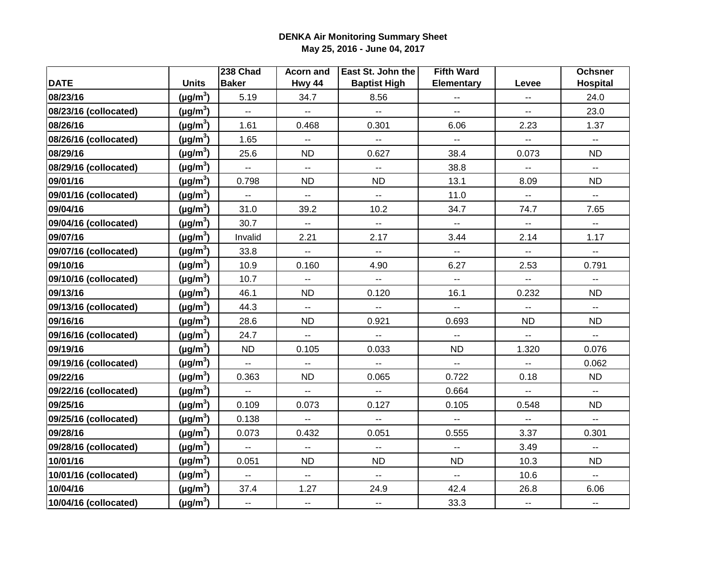|                       |               | 238 Chad                  | <b>Acorn and</b>         | East St. John the        | <b>Fifth Ward</b>                             |                           | <b>Ochsner</b>            |
|-----------------------|---------------|---------------------------|--------------------------|--------------------------|-----------------------------------------------|---------------------------|---------------------------|
| <b>DATE</b>           | <b>Units</b>  | <b>Baker</b>              | Hwy 44                   | <b>Baptist High</b>      | <b>Elementary</b>                             | Levee                     | <b>Hospital</b>           |
| 08/23/16              | $(\mu g/m^3)$ | 5.19                      | 34.7                     | 8.56                     | н,                                            | $\overline{\phantom{a}}$  | 24.0                      |
| 08/23/16 (collocated) | $(\mu g/m^3)$ | $\mathbb{L}^{\mathbb{L}}$ | Щ,                       | uu.                      | $\overline{a}$                                | $\mathbf{u}$              | 23.0                      |
| 08/26/16              | $(\mu g/m^3)$ | 1.61                      | 0.468                    | 0.301                    | 6.06                                          | 2.23                      | 1.37                      |
| 08/26/16 (collocated) | $(\mu g/m^3)$ | 1.65                      | $\overline{\phantom{a}}$ | $\overline{\phantom{a}}$ | $\overline{\phantom{a}}$                      | ۰.                        | $\overline{\phantom{a}}$  |
| 08/29/16              | $(\mu g/m^3)$ | 25.6                      | <b>ND</b>                | 0.627                    | 38.4                                          | 0.073                     | <b>ND</b>                 |
| 08/29/16 (collocated) | $(\mu g/m^3)$ | Ξ.                        | Ξ.                       | --                       | 38.8                                          | --                        | $\overline{\phantom{a}}$  |
| 09/01/16              | $(\mu g/m^3)$ | 0.798                     | <b>ND</b>                | <b>ND</b>                | 13.1                                          | 8.09                      | <b>ND</b>                 |
| 09/01/16 (collocated) | $(\mu g/m^3)$ | $\mathbb{L}^{\mathbb{L}}$ | ωú,                      | Щ,                       | 11.0                                          | $\mathbb{L}^2$            | $\overline{a}$            |
| 09/04/16              | $(\mu g/m^3)$ | 31.0                      | 39.2                     | 10.2                     | 34.7                                          | 74.7                      | 7.65                      |
| 09/04/16 (collocated) | $(\mu g/m^3)$ | 30.7                      | $\mathbb{Z}^2$           | Щ,                       | $\mathbb{H}^{\mathbb{H}}$                     | $\mathbb{L}^{\mathbb{L}}$ | $\overline{\phantom{a}}$  |
| 09/07/16              | $(\mu g/m^3)$ | Invalid                   | 2.21                     | 2.17                     | 3.44                                          | 2.14                      | 1.17                      |
| 09/07/16 (collocated) | $(\mu g/m^3)$ | 33.8                      | Ξ.                       | $\overline{\phantom{a}}$ | $\mathbb{Z}^2$                                | $\overline{\phantom{a}}$  | $\overline{\phantom{a}}$  |
| 09/10/16              | $(\mu g/m^3)$ | 10.9                      | 0.160                    | 4.90                     | 6.27                                          | 2.53                      | 0.791                     |
| 09/10/16 (collocated) | $(\mu g/m^3)$ | 10.7                      | u.                       | $\overline{\phantom{a}}$ | $\mathbb{L} \mathbb{L}$                       | $\overline{a}$            | $\overline{a}$            |
| 09/13/16              | $(\mu g/m^3)$ | 46.1                      | <b>ND</b>                | 0.120                    | 16.1                                          | 0.232                     | ND                        |
| 09/13/16 (collocated) | $(\mu g/m^3)$ | 44.3                      | μ.                       | uu.                      | u.                                            | $\overline{a}$            | $\mathbf{L}$              |
| 09/16/16              | $(\mu g/m^3)$ | 28.6                      | <b>ND</b>                | 0.921                    | 0.693                                         | <b>ND</b>                 | <b>ND</b>                 |
| 09/16/16 (collocated) | $(\mu g/m^3)$ | 24.7                      | Ξ.                       | $\mathbf{u}$             | $\overline{\phantom{a}}$                      | $\overline{\phantom{a}}$  | $\sim$                    |
| 09/19/16              | $(\mu g/m^3)$ | <b>ND</b>                 | 0.105                    | 0.033                    | <b>ND</b>                                     | 1.320                     | 0.076                     |
| 09/19/16 (collocated) | $(\mu g/m^3)$ | $\overline{\phantom{a}}$  | $\overline{a}$           | --                       | $\mathord{\hspace{1pt}\text{--}\hspace{1pt}}$ | $\overline{\phantom{a}}$  | 0.062                     |
| 09/22/16              | $(\mu g/m^3)$ | 0.363                     | <b>ND</b>                | 0.065                    | 0.722                                         | 0.18                      | <b>ND</b>                 |
| 09/22/16 (collocated) | $(\mu g/m^3)$ | $\overline{\phantom{a}}$  | Ξ.                       | Ξ.                       | 0.664                                         | $\mathbb{L}^{\mathbb{L}}$ | $\mathbb{H}^{\mathbb{H}}$ |
| 09/25/16              | $(\mu g/m^3)$ | 0.109                     | 0.073                    | 0.127                    | 0.105                                         | 0.548                     | <b>ND</b>                 |
| 09/25/16 (collocated) | $(\mu g/m^3)$ | 0.138                     | Ξ.                       | $\overline{\phantom{a}}$ | Ξ.                                            | Ξ.                        | $\mathbb{H}^{\mathbb{H}}$ |
| 09/28/16              | $(\mu g/m^3)$ | 0.073                     | 0.432                    | 0.051                    | 0.555                                         | 3.37                      | 0.301                     |
| 09/28/16 (collocated) | $(\mu g/m^3)$ | 44                        | Щ,                       | $\overline{\phantom{a}}$ | $\overline{\phantom{a}}$                      | 3.49                      | $\overline{\phantom{a}}$  |
| 10/01/16              | $(\mu g/m^3)$ | 0.051                     | <b>ND</b>                | <b>ND</b>                | <b>ND</b>                                     | 10.3                      | <b>ND</b>                 |
| 10/01/16 (collocated) | $(\mu g/m^3)$ | $\overline{\phantom{a}}$  | Щ,                       | $\overline{\phantom{a}}$ | $\mathbf{u}$                                  | 10.6                      | $\overline{\phantom{a}}$  |
| 10/04/16              | $(\mu g/m^3)$ | 37.4                      | 1.27                     | 24.9                     | 42.4                                          | 26.8                      | 6.06                      |
| 10/04/16 (collocated) | $(\mu g/m^3)$ | $\overline{\phantom{a}}$  | Ξ.                       | $\overline{\phantom{a}}$ | 33.3                                          | $\overline{\phantom{a}}$  | $\overline{\phantom{a}}$  |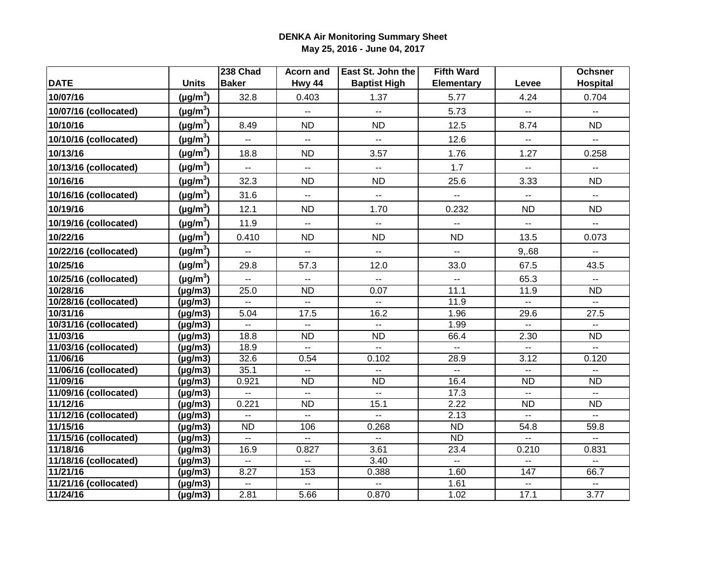|                       |               | 238 Chad                                      | <b>Acorn and</b>         | East St. John the         | <b>Fifth Ward</b>         |                             | <b>Ochsner</b>                                |
|-----------------------|---------------|-----------------------------------------------|--------------------------|---------------------------|---------------------------|-----------------------------|-----------------------------------------------|
| <b>DATE</b>           | <b>Units</b>  | <b>Baker</b>                                  | Hwy 44                   | <b>Baptist High</b>       | <b>Elementary</b>         | Levee                       | <b>Hospital</b>                               |
| 10/07/16              | $(\mu g/m^3)$ | 32.8                                          | 0.403                    | 1.37                      | 5.77                      | 4.24                        | 0.704                                         |
| 10/07/16 (collocated) | $(\mu g/m^3)$ |                                               | $\mathbb{Z}^2$           | $\overline{\phantom{a}}$  | 5.73                      | $\mathbb{L}^2$              | $\overline{\phantom{a}}$                      |
| 10/10/16              | $(\mu g/m^3)$ | 8.49                                          | <b>ND</b>                | <b>ND</b>                 | 12.5                      | 8.74                        | <b>ND</b>                                     |
| 10/10/16 (collocated) | $(\mu g/m^3)$ | $\mathbf{L}$                                  | u.                       | $\overline{\phantom{a}}$  | 12.6                      | $\mathbb{L}^2$              | $\mathbf{L}$                                  |
| 10/13/16              | $(\mu g/m^3)$ | 18.8                                          | <b>ND</b>                | 3.57                      | 1.76                      | 1.27                        | 0.258                                         |
| 10/13/16 (collocated) | $(\mu g/m^3)$ | $\sim$                                        | Щ.                       | $\sim$                    | 1.7                       | $\sim$ $\sim$               | $\mathord{\hspace{1pt}\text{--}\hspace{1pt}}$ |
| 10/16/16              | $(\mu g/m^3)$ | 32.3                                          | <b>ND</b>                | <b>ND</b>                 | 25.6                      | 3.33                        | <b>ND</b>                                     |
| 10/16/16 (collocated) | $(\mu g/m^3)$ | 31.6                                          | Щ,                       | $\overline{\phantom{a}}$  | $\sim$                    | $\overline{\phantom{a}}$    | $\overline{\phantom{a}}$                      |
| 10/19/16              | $(\mu g/m^3)$ | 12.1                                          | <b>ND</b>                | 1.70                      | 0.232                     | <b>ND</b>                   | <b>ND</b>                                     |
| 10/19/16 (collocated) | $(\mu g/m^3)$ | 11.9                                          | Щ,                       | $\mathbb{L} \mathbb{L}$   | $\overline{\phantom{a}}$  | --                          | $\overline{\phantom{a}}$                      |
| 10/22/16              | $(\mu g/m^3)$ | 0.410                                         | <b>ND</b>                | <b>ND</b>                 | <b>ND</b>                 | 13.5                        | 0.073                                         |
| 10/22/16 (collocated) | $(\mu g/m^3)$ | $\mathord{\hspace{1pt}\text{--}\hspace{1pt}}$ | $\overline{\phantom{a}}$ | $\overline{\phantom{a}}$  | $\mathbf{u}$              | 9,.68                       | $\mathbb{H}^{\mathbb{H}}$                     |
| 10/25/16              | $(\mu g/m^3)$ | 29.8                                          | 57.3                     | 12.0                      | 33.0                      | 67.5                        | 43.5                                          |
| 10/25/16 (collocated) | $(\mu g/m^3)$ | $\mathbb{Z}^{\mathbb{Z}}$                     | u.                       | $\overline{\phantom{a}}$  | ш.                        | 65.3                        | $\mathbf{u}$                                  |
| 10/28/16              | $(\mu g/m3)$  | 25.0                                          | <b>ND</b>                | 0.07                      | 11.1                      | 11.9                        | <b>ND</b>                                     |
| 10/28/16 (collocated) | $(\mu g/m3)$  | $\mathbb{L}^{\mathbb{L}}$                     | Щ.                       | $\mathbb{L}^2$            | 11.9                      | $\mathbb{L}^{\mathbb{L}}$   | $\mathbb{H}^{\mathbb{H}}$                     |
| 10/31/16              | $(\mu g/m3)$  | 5.04                                          | 17.5                     | 16.2                      | 1.96                      | 29.6                        | 27.5                                          |
| 10/31/16 (collocated) | $(\mu g/m3)$  | $\mathbf{L}$                                  | uu.                      | $\mathbf{L}$              | 1.99                      | $\mathbf{L}$                | $\mathbf{u}$                                  |
| 11/03/16              | $(\mu g/m3)$  | 18.8                                          | <b>ND</b>                | <b>ND</b>                 | 66.4                      | 2.30                        | <b>ND</b>                                     |
| 11/03/16 (collocated) | $(\mu g/m3)$  | 18.9                                          | $\sim$                   | $\mathbb{H}^{\mathbb{H}}$ | $\mathbb{H}^{\mathbb{Z}}$ | $\mathbb{L}^{\mathbb{L}}$   | $\mathbf{L}$                                  |
| 11/06/16              | $(\mu g/m3)$  | 32.6                                          | 0.54                     | 0.102                     | 28.9                      | 3.12                        | 0.120                                         |
| 11/06/16 (collocated) | $(\mu g/m3)$  | 35.1                                          | $\overline{\phantom{a}}$ | $\overline{\phantom{a}}$  | $\overline{\phantom{a}}$  | $\overline{\phantom{a}}$    | $\overline{\phantom{a}}$                      |
| 11/09/16              | $(\mu g/m3)$  | 0.921                                         | <b>ND</b>                | <b>ND</b>                 | 16.4                      | <b>ND</b>                   | <b>ND</b>                                     |
| 11/09/16 (collocated) | $(\mu g/m3)$  | $\mathbf{u}$                                  | $\sim$ $\sim$            | $\mathbf{L}$              | $\overline{17.3}$         | $\overline{a}$              | $\overline{a}$                                |
| 11/12/16              | $(\mu g/m3)$  | 0.221                                         | $\overline{ND}$          | 15.1                      | 2.22                      | $\overline{ND}$             | <b>ND</b>                                     |
| 11/12/16 (collocated) | $(\mu g/m3)$  | $\overline{\phantom{a}}$                      | н.                       | $\mathbf{u}$              | 2.13                      | $- -$                       | $\sim$ $\sim$                                 |
| 11/15/16              | $(\mu g/m3)$  | <b>ND</b>                                     | 106                      | 0.268                     | <b>ND</b>                 | 54.8                        | 59.8                                          |
| 11/15/16 (collocated) | $(\mu g/m3)$  | $\sim$ $\sim$                                 | $\overline{a}$           | $\overline{a}$            | <b>ND</b>                 | $\overline{a}$              | $\mathbf{u}$                                  |
| 11/18/16              | $(\mu g/m3)$  | 16.9                                          | 0.827                    | 3.61                      | 23.4                      | 0.210                       | 0.831                                         |
| 11/18/16 (collocated) | $(\mu g/m3)$  | $\mathbf{u}$                                  | Ξ.                       | 3.40                      | $\mathbb{H}^{\mathbb{H}}$ | $\overline{\phantom{a}}$    | $\mathcal{L}_{\mathcal{F}}$                   |
| 11/21/16              | $(\mu g/m3)$  | 8.27                                          | 153                      | 0.388                     | 1.60                      | 147                         | 66.7                                          |
| 11/21/16 (collocated) | $(\mu g/m3)$  | $\overline{\phantom{a}}$                      | Щ.                       | $\overline{\phantom{a}}$  | 1.61                      | $\mathcal{L}_{\mathcal{F}}$ | $\overline{\phantom{a}}$                      |
| 11/24/16              | $(\mu g/m3)$  | 2.81                                          | 5.66                     | 0.870                     | 1.02                      | 17.1                        | 3.77                                          |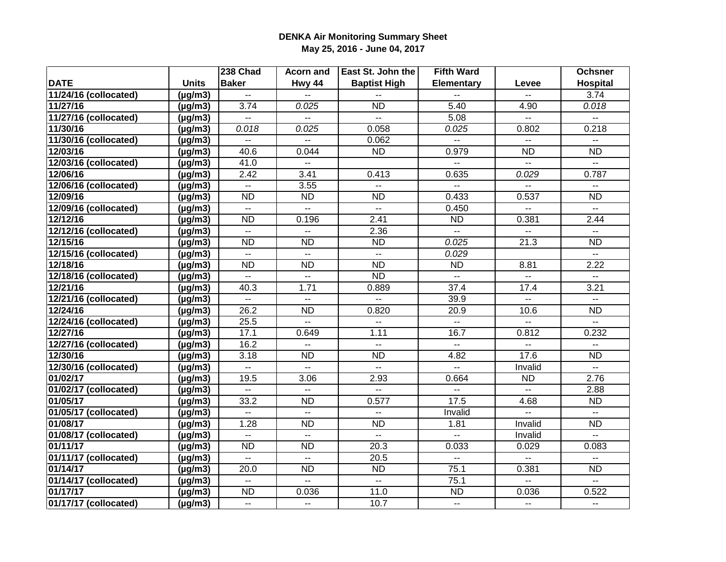|                       |                         | 238 Chad                  | <b>Acorn</b> and                              | East St. John the        | <b>Fifth Ward</b>         |                          | <b>Ochsner</b>                                |
|-----------------------|-------------------------|---------------------------|-----------------------------------------------|--------------------------|---------------------------|--------------------------|-----------------------------------------------|
| <b>DATE</b>           | <b>Units</b>            | <b>Baker</b>              | Hwy 44                                        | <b>Baptist High</b>      | <b>Elementary</b>         | Levee                    | <b>Hospital</b>                               |
| 11/24/16 (collocated) | $(\mu g/m3)$            |                           |                                               |                          |                           |                          | 3.74                                          |
| 11/27/16              | $(\mu g/m3)$            | 3.74                      | 0.025                                         | <b>ND</b>                | 5.40                      | 4.90                     | 0.018                                         |
| 11/27/16 (collocated) | $(\mu g/m3)$            | $\overline{a}$            | u.                                            | $\overline{a}$           | 5.08                      | $\overline{a}$           | 44                                            |
| 11/30/16              | $(\mu g/m3)$            | 0.018                     | 0.025                                         | 0.058                    | 0.025                     | 0.802                    | 0.218                                         |
| 11/30/16 (collocated) | $(\mu g/m3)$            | $\overline{\phantom{a}}$  | $\overline{\phantom{a}}$                      | 0.062                    | $\mathbf{L}$              | $\mathbf{L}$             | $\mathbf{L}$                                  |
| 12/03/16              | $(\mu g/m3)$            | 40.6                      | 0.044                                         | <b>ND</b>                | 0.979                     | <b>ND</b>                | <b>ND</b>                                     |
| 12/03/16 (collocated) | $\overline{(\mu g/m3)}$ | 41.0                      | --                                            |                          | $\overline{a}$            | $\overline{\phantom{a}}$ | $\overline{a}$                                |
| 12/06/16              | $(\mu g/m3)$            | 2.42                      | 3.41                                          | 0.413                    | 0.635                     | 0.029                    | 0.787                                         |
| 12/06/16 (collocated) | $(\mu g/m3)$            | $\mathbf{u}$              | 3.55                                          | $\overline{a}$           | $\overline{a}$            | $\overline{a}$           | $\overline{\phantom{a}}$                      |
| 12/09/16              | $(\mu g/m3)$            | $\overline{ND}$           | $\overline{ND}$                               | $\overline{ND}$          | 0.433                     | 0.537                    | $\overline{ND}$                               |
| 12/09/16 (collocated) | $(\mu g/m3)$            | $\mathbf{u}$              | $\sim$                                        | $\mathbf{L}$             | 0.450                     | $- -$                    | $\mathbb{Z}^{\mathbb{Z}}$                     |
| 12/12/16              | $(\mu g/m3)$            | ND                        | 0.196                                         | 2.41                     | $\overline{ND}$           | 0.381                    | 2.44                                          |
| 12/12/16 (collocated) | $(\mu g/m3)$            | $\mathbf{L}$              | ÷.                                            | 2.36                     | $\mathbb{L}^{\mathbb{L}}$ |                          | $\overline{a}$                                |
| 12/15/16              | $(\mu g/m3)$            | <b>ND</b>                 | <b>ND</b>                                     | <b>ND</b>                | 0.025                     | $\overline{21.3}$        | <b>ND</b>                                     |
| 12/15/16 (collocated) | $(\mu g/m3)$            | $\mathbf{u}$              | $\mathbf{L}$                                  | $\overline{\phantom{a}}$ | 0.029                     |                          | $\sim$                                        |
| 12/18/16              | $(\mu g/m3)$            | <b>ND</b>                 | <b>ND</b>                                     | <b>ND</b>                | <b>ND</b>                 | 8.81                     | 2.22                                          |
| 12/18/16 (collocated) | $(\mu g/m3)$            | $\mathbb{L}^{\mathbb{L}}$ | $\mathbf{L}$                                  | <b>ND</b>                | $\mathbf{L}$              | $\mathbf{L}$             | $\overline{a}$                                |
| 12/21/16              | $(\mu g/m3)$            | 40.3                      | 1.71                                          | 0.889                    | 37.4                      | 17.4                     | 3.21                                          |
| 12/21/16 (collocated) | $(\mu g/m3)$            | $\sim$                    | $\mathbf{L}$                                  |                          | 39.9                      |                          | $\mathbf{L}$                                  |
| 12/24/16              | $(\mu g/m3)$            | 26.2                      | <b>ND</b>                                     | 0.820                    | 20.9                      | 10.6                     | <b>ND</b>                                     |
| 12/24/16 (collocated) | $\overline{(\mu g/m3)}$ | 25.5                      | $\overline{a}$                                | $\overline{a}$           | $- -$                     | $\overline{a}$           | $\overline{a}$                                |
| 12/27/16              | $(\mu g/m3)$            | 17.1                      | 0.649                                         | 1.11                     | 16.7                      | 0.812                    | 0.232                                         |
| 12/27/16 (collocated) | $(\mu g/m3)$            | 16.2                      | $\overline{a}$                                | $\overline{a}$           | $\mathbb{L}^{\mathbb{L}}$ | $-$                      | $\overline{a}$                                |
| 12/30/16              | $(\mu g/m3)$            | 3.18                      | <b>ND</b>                                     | <b>ND</b>                | 4.82                      | 17.6                     | <b>ND</b>                                     |
| 12/30/16 (collocated) | $(\mu g/m3)$            | $\overline{\phantom{a}}$  | u.                                            | u.                       | u.                        | Invalid                  | $\mathbf{L}$                                  |
| 01/02/17              | $(\mu g/m3)$            | 19.5                      | 3.06                                          | 2.93                     | 0.664                     | <b>ND</b>                | 2.76                                          |
| 01/02/17 (collocated) | $(\mu g/m3)$            | цú.                       | u.                                            | uu.                      | $\overline{a}$            | цú.                      | 2.88                                          |
| 01/05/17              | $(\mu g/m3)$            | 33.2                      | <b>ND</b>                                     | 0.577                    | 17.5                      | 4.68                     | <b>ND</b>                                     |
| 01/05/17 (collocated) | $(\mu g/m3)$            | $\overline{a}$            | $\sim$                                        | $\overline{a}$           | Invalid                   | $\sim$                   | $\mathbb{L}^{\mathbb{L}}$                     |
| 01/08/17              | $(\mu g/m3)$            | 1.28                      | <b>ND</b>                                     | <b>ND</b>                | 1.81                      | Invalid                  | <b>ND</b>                                     |
| 01/08/17 (collocated) | $(\mu g/m3)$            | $\overline{\phantom{a}}$  | $\mathord{\hspace{1pt}\text{--}\hspace{1pt}}$ | $\overline{\phantom{a}}$ | $\overline{\phantom{a}}$  | Invalid                  | $\mathord{\hspace{1pt}\text{--}\hspace{1pt}}$ |
| 01/11/17              | $(\mu g/m3)$            | <b>ND</b>                 | <b>ND</b>                                     | 20.3                     | 0.033                     | 0.029                    | 0.083                                         |
| 01/11/17 (collocated) | $(\mu g/m3)$            | $\overline{a}$            | $\sim$                                        | 20.5                     | $\overline{a}$            | $\mathbf{u}$             | $\overline{a}$                                |
| 01/14/17              | $(\mu g/m3)$            | 20.0                      | <b>ND</b>                                     | <b>ND</b>                | 75.1                      | 0.381                    | <b>ND</b>                                     |
| 01/14/17 (collocated) | $(\mu g/m3)$            | $\overline{a}$            | $\sim$                                        | $\overline{a}$           | 75.1                      | $\sim$                   | $\mathbb{L}^{\mathbb{L}}$                     |
| 01/17/17              | $(\mu g/m3)$            | $\overline{ND}$           | 0.036                                         | 11.0                     | $\overline{ND}$           | 0.036                    | 0.522                                         |
| 01/17/17 (collocated) | $(\mu g/m3)$            | $\overline{\phantom{a}}$  | $\overline{\phantom{a}}$                      | 10.7                     | $\sim$                    | $\overline{\phantom{a}}$ | $\sim$                                        |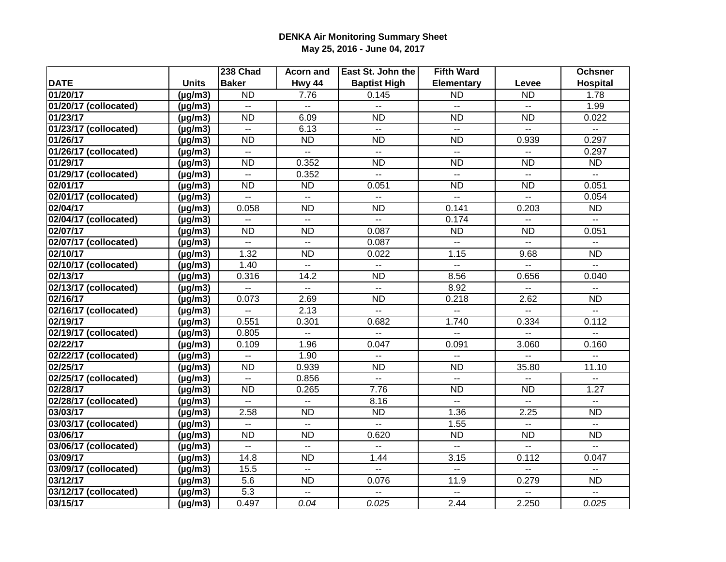|                       |              | 238 Chad                  | Acorn and                | East St. John the        | <b>Fifth Ward</b>           |                          | <b>Ochsner</b>                                |
|-----------------------|--------------|---------------------------|--------------------------|--------------------------|-----------------------------|--------------------------|-----------------------------------------------|
| <b>DATE</b>           | <b>Units</b> | <b>Baker</b>              | Hwy 44                   | <b>Baptist High</b>      | <b>Elementary</b>           | Levee                    | <b>Hospital</b>                               |
| 01/20/17              | $(\mu g/m3)$ | $\overline{ND}$           | 7.76                     | 0.145                    | <b>ND</b>                   | <b>ND</b>                | 1.78                                          |
| 01/20/17 (collocated) | $(\mu g/m3)$ | $\mathbf{L}$              | $\mathbb{Z}^2$           | $\overline{a}$           | $\sim$ $\sim$               | $\mathbb{Z}^2$           | 1.99                                          |
| 01/23/17              | $(\mu g/m3)$ | <b>ND</b>                 | 6.09                     | <b>ND</b>                | <b>ND</b>                   | <b>ND</b>                | 0.022                                         |
| 01/23/17 (collocated) | $(\mu g/m3)$ | $\mathbb{L}^{\mathbb{L}}$ | 6.13                     | $\overline{\phantom{a}}$ | $\mathbf{L}$                | $\overline{a}$           | $\mathbb{L} \mathbb{L}$                       |
| 01/26/17              | $(\mu g/m3)$ | <b>ND</b>                 | <b>ND</b>                | <b>ND</b>                | <b>ND</b>                   | 0.939                    | 0.297                                         |
| 01/26/17 (collocated) | $(\mu g/m3)$ | $\mathbf{u}$              | $\mathbf{L}$             | $\overline{a}$           | $\sim$                      | $\overline{\phantom{a}}$ | 0.297                                         |
| 01/29/17              | $(\mu g/m3)$ | <b>ND</b>                 | 0.352                    | <b>ND</b>                | <b>ND</b>                   | <b>ND</b>                | <b>ND</b>                                     |
| 01/29/17 (collocated) | $(\mu g/m3)$ | $- -$                     | 0.352                    | $\overline{a}$           | $\sim$                      | $- -$                    | $\mathbf{L}$                                  |
| 02/01/17              | $(\mu g/m3)$ | $\overline{ND}$           | $\overline{ND}$          | 0.051                    | $\overline{ND}$             | <b>ND</b>                | 0.051                                         |
| 02/01/17 (collocated) | $(\mu g/m3)$ | $- -$                     | $\overline{a}$           | $\overline{a}$           | $\mathbf{L}$                | $\overline{a}$           | 0.054                                         |
| 02/04/17              | $(\mu g/m3)$ | 0.058                     | $\overline{ND}$          | $\overline{ND}$          | 0.141                       | 0.203                    | $\overline{ND}$                               |
| 02/04/17 (collocated) | $(\mu g/m3)$ |                           | $\overline{a}$           | ш.                       | 0.174                       |                          |                                               |
| 02/07/17              | $(\mu g/m3)$ | ND                        | $\overline{ND}$          | 0.087                    | $\overline{ND}$             | ND                       | 0.051                                         |
| 02/07/17 (collocated) | $(\mu g/m3)$ | $\sim$                    | $\mathbf{L}$             | 0.087                    | $\mathbb{Z}^2$              | $\mathbf{u}$             | $\mathbf{L}$                                  |
| 02/10/17              | $(\mu g/m3)$ | 1.32                      | <b>ND</b>                | 0.022                    | 1.15                        | 9.68                     | <b>ND</b>                                     |
| 02/10/17 (collocated) | $(\mu g/m3)$ | 1.40                      | $\overline{a}$           | $\overline{a}$           | $\sim$ $\sim$               | $\sim$                   | $\sim$ $\sim$                                 |
| 02/13/17              | $(\mu g/m3)$ | 0.316                     | 14.2                     | <b>ND</b>                | 8.56                        | 0.656                    | 0.040                                         |
| 02/13/17 (collocated) | $(\mu g/m3)$ | $\overline{\phantom{a}}$  | $\mathbf{u}$             | $\sim$                   | 8.92                        | $\overline{\phantom{a}}$ | $\overline{\phantom{a}}$                      |
| 02/16/17              | $(\mu g/m3)$ | 0.073                     | 2.69                     | <b>ND</b>                | 0.218                       | 2.62                     | <b>ND</b>                                     |
| 02/16/17 (collocated) | $(\mu g/m3)$ | $\sim$                    | 2.13                     | $\overline{\phantom{a}}$ | $\overline{a}$              | $\overline{a}$           | $\overline{a}$                                |
| 02/19/17              | $(\mu g/m3)$ | 0.551                     | 0.301                    | 0.682                    | 1.740                       | 0.334                    | 0.112                                         |
| 02/19/17 (collocated) | $(\mu g/m3)$ | 0.805                     | $\overline{a}$           | $\overline{a}$           | $\overline{a}$              |                          | $\overline{a}$                                |
| 02/22/17              | $(\mu g/m3)$ | 0.109                     | 1.96                     | 0.047                    | 0.091                       | 3.060                    | 0.160                                         |
| 02/22/17 (collocated) | $(\mu g/m3)$ |                           | 1.90                     | $\overline{\phantom{a}}$ |                             |                          |                                               |
| 02/25/17              | $(\mu g/m3)$ | <b>ND</b>                 | 0.939                    | <b>ND</b>                | <b>ND</b>                   | 35.80                    | 11.10                                         |
| 02/25/17 (collocated) | $(\mu g/m3)$ | $\mathbf{L}$              | 0.856                    | u.                       | $\sim$                      | $\sim$                   | $\sim$                                        |
| 02/28/17              | $(\mu g/m3)$ | <b>ND</b>                 | 0.265                    | 7.76                     | <b>ND</b>                   | <b>ND</b>                | 1.27                                          |
| 02/28/17 (collocated) | $(\mu g/m3)$ | $\overline{a}$            | ш.                       | 8.16                     | $\sim$ $\sim$               | $\overline{a}$           | $\overline{a}$                                |
| 03/03/17              | $(\mu g/m3)$ | 2.58                      | <b>ND</b>                | <b>ND</b>                | 1.36                        | 2.25                     | <b>ND</b>                                     |
| 03/03/17 (collocated) | $(\mu g/m3)$ | $\overline{\phantom{a}}$  | $\overline{\phantom{a}}$ | Ξ.                       | 1.55                        | $\overline{\phantom{a}}$ | $\mathord{\hspace{1pt}\text{--}\hspace{1pt}}$ |
| 03/06/17              | $(\mu g/m3)$ | <b>ND</b>                 | <b>ND</b>                | 0.620                    | <b>ND</b>                   | <b>ND</b>                | <b>ND</b>                                     |
| 03/06/17 (collocated) | $(\mu g/m3)$ | $- -$                     | $\overline{a}$           | $\overline{a}$           | $\overline{a}$              | $\overline{a}$           | $\sim$                                        |
| 03/09/17              | $(\mu g/m3)$ | 14.8                      | <b>ND</b>                | 1.44                     | 3.15                        | 0.112                    | 0.047                                         |
| 03/09/17 (collocated) | $(\mu g/m3)$ | 15.5                      | $\sim$                   | $\mathbf{u}$             | $\sim$                      | $\overline{\phantom{a}}$ | $\mathbf{L}$                                  |
| 03/12/17              | $(\mu g/m3)$ | 5.6                       | $\overline{ND}$          | 0.076                    | 11.9                        | 0.279                    | $\overline{ND}$                               |
| 03/12/17 (collocated) | $(\mu g/m3)$ | $\overline{5.3}$          | Ξ.                       | --                       | $\mathcal{L}_{\mathcal{F}}$ |                          | $\mathord{\hspace{1pt}\text{--}\hspace{1pt}}$ |
| 03/15/17              | $(\mu g/m3)$ | 0.497                     | 0.04                     | 0.025                    | 2.44                        | 2.250                    | 0.025                                         |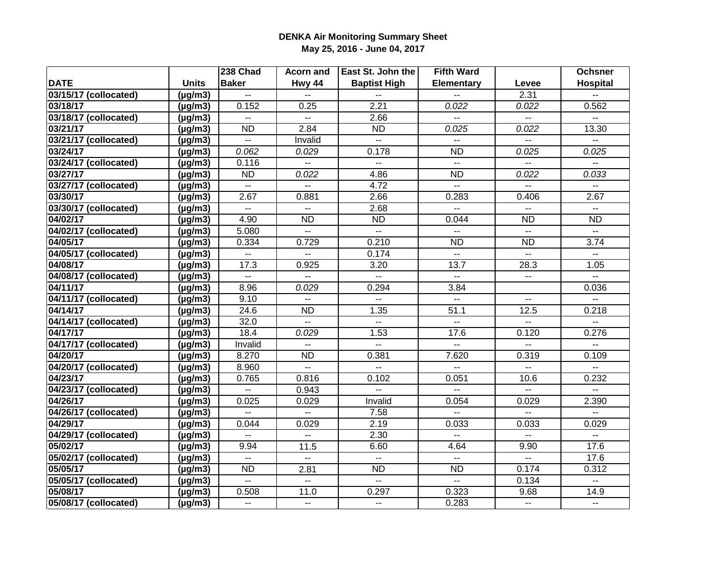|                       |                         | 238 Chad                  | Acorn and                | East St. John the        | <b>Fifth Ward</b>         |                           | <b>Ochsner</b>            |
|-----------------------|-------------------------|---------------------------|--------------------------|--------------------------|---------------------------|---------------------------|---------------------------|
| <b>DATE</b>           | <b>Units</b>            | <b>Baker</b>              | Hwy 44                   | <b>Baptist High</b>      | <b>Elementary</b>         | Levee                     | <b>Hospital</b>           |
| 03/15/17 (collocated) | $(\mu g/m3)$            |                           |                          |                          |                           | 2.31                      |                           |
| 03/18/17              | $(\mu g/m3)$            | 0.152                     | 0.25                     | 2.21                     | 0.022                     | 0.022                     | 0.562                     |
| 03/18/17 (collocated) | $(\mu g/m3)$            | $\overline{a}$            | $\overline{\phantom{a}}$ | 2.66                     | $\overline{a}$            | $\mathbb{H}^{\mathbb{Z}}$ | $\sim$                    |
| 03/21/17              | $(\mu g/m3)$            | $\overline{ND}$           | 2.84                     | <b>ND</b>                | 0.025                     | 0.022                     | 13.30                     |
| 03/21/17 (collocated) | $(\mu g/m3)$            | $\mathbb{L}^{\mathbb{L}}$ | Invalid                  | $\mathbf{L}$             | $\overline{a}$            | $\overline{a}$            | $\overline{a}$            |
| 03/24/17              | $(\mu g/m3)$            | 0.062                     | 0.029                    | 0.178                    | <b>ND</b>                 | 0.025                     | 0.025                     |
| 03/24/17 (collocated) | $\overline{(\mu g/m3)}$ | 0.116                     | Ξ.                       | $\overline{\phantom{a}}$ | $\sim$                    | $\overline{\phantom{a}}$  | --                        |
| 03/27/17              | $(\mu g/m3)$            | <b>ND</b>                 | 0.022                    | 4.86                     | <b>ND</b>                 | 0.022                     | 0.033                     |
| 03/27/17 (collocated) | $(\mu g/m3)$            | $\mathbf{u}$              | $\overline{a}$           | 4.72                     | $\mathbb{L}^{\mathbb{L}}$ | $- -$                     | $\overline{a}$            |
| 03/30/17              | $(\mu g/m3)$            | 2.67                      | 0.881                    | 2.66                     | 0.283                     | 0.406                     | 2.67                      |
| 03/30/17 (collocated) | $(\mu g/m3)$            | $- -$                     | $\overline{a}$           | 2.68                     | $\mathbf{L}$              | $- -$                     | $\sim$ $\sim$             |
| 04/02/17              | $(\mu g/m3)$            | 4.90                      | $\overline{ND}$          | $\overline{ND}$          | 0.044                     | $\overline{ND}$           | $\overline{ND}$           |
| 04/02/17 (collocated) | $(\mu g/m3)$            | 5.080                     | $\mathbf{L}$             | $\mathbf{L}$             | $\overline{a}$            | $\overline{a}$            | $\mathbf{u}$              |
| 04/05/17              | $(\mu g/m3)$            | 0.334                     | 0.729                    | 0.210                    | $\overline{ND}$           | $\overline{ND}$           | 3.74                      |
| 04/05/17 (collocated) | $(\mu g/m3)$            | $\mathbf{u}$              | Щ.                       | 0.174                    | $\mathbf{L}$              | $\mathbf{u}$              | $\overline{a}$            |
| 04/08/17              | $(\mu g/m3)$            | 17.3                      | 0.925                    | 3.20                     | 13.7                      | 28.3                      | 1.05                      |
| 04/08/17 (collocated) | $(\mu g/m3)$            | н.                        | $\overline{a}$           | $\overline{a}$           | $\mathbf{L}$              | $\mathbf{u}$              | $\mathbb{L}^{\mathbb{L}}$ |
| 04/11/17              | $(\mu g/m3)$            | 8.96                      | 0.029                    | 0.294                    | 3.84                      |                           | 0.036                     |
| 04/11/17 (collocated) | $(\mu g/m3)$            | 9.10                      | $\overline{a}$           | $\overline{\phantom{a}}$ | $\mathbb{L} \mathbb{L}$   | $\overline{\phantom{a}}$  |                           |
| 04/14/17              | $(\mu g/m3)$            | 24.6                      | <b>ND</b>                | 1.35                     | 51.1                      | 12.5                      | 0.218                     |
| 04/14/17 (collocated) | $(\mu g/m3)$            | 32.0                      | $\mathbf{L}$             | н.                       | н.                        | н.                        | $\mathbf{u}$              |
| 04/17/17              | $(\mu g/m3)$            | 18.4                      | 0.029                    | 1.53                     | 17.6                      | 0.120                     | 0.276                     |
| 04/17/17 (collocated) | $(\mu g/m3)$            | Invalid                   | $\overline{a}$           | Щ.                       | $-$                       |                           | $\mathbf{r}$              |
| 04/20/17              | $(\mu g/m3)$            | 8.270                     | <b>ND</b>                | 0.381                    | 7.620                     | 0.319                     | 0.109                     |
| 04/20/17 (collocated) | $(\mu g/m3)$            | 8.960                     | Ξ.                       |                          |                           |                           |                           |
| 04/23/17              | $(\mu g/m3)$            | 0.765                     | 0.816                    | 0.102                    | 0.051                     | 10.6                      | 0.232                     |
| 04/23/17 (collocated) | $(\mu g/m3)$            | $\mathbb{L}^{\mathbb{L}}$ | 0.943                    | u.                       | u.                        | $\overline{a}$            | $\mathbb{Z}^2$            |
| 04/26/17              | $(\mu g/m3)$            | 0.025                     | 0.029                    | Invalid                  | 0.054                     | 0.029                     | 2.390                     |
| 04/26/17 (collocated) | $(\mu g/m3)$            | $\overline{a}$            | $\overline{a}$           | 7.58                     | $\mathbb{L}^{\mathbb{L}}$ | $\overline{a}$            | $\overline{a}$            |
| 04/29/17              | $(\mu g/m3)$            | 0.044                     | 0.029                    | 2.19                     | 0.033                     | 0.033                     | 0.029                     |
| 04/29/17 (collocated) | $(\mu g/m3)$            | ۰.                        | $\overline{\phantom{a}}$ | 2.30                     | $\overline{\phantom{a}}$  | $\overline{\phantom{a}}$  | --                        |
| 05/02/17              | $(\mu g/m3)$            | 9.94                      | 11.5                     | 6.60                     | 4.64                      | 9.90                      | 17.6                      |
| 05/02/17 (collocated) | $(\mu g/m3)$            | $- -$                     | $\sim$                   | $\overline{a}$           | $\mathbb{L}^{\mathbb{L}}$ | $\overline{a}$            | 17.6                      |
| 05/05/17              | $(\mu g/m3)$            | $\overline{ND}$           | 2.81                     | <b>ND</b>                | <b>ND</b>                 | 0.174                     | 0.312                     |
| 05/05/17 (collocated) | $(\mu g/m3)$            | $\overline{a}$            | $\overline{a}$           | $\overline{a}$           | $\mathbb{L}^{\mathbb{L}}$ | 0.134                     | $\overline{a}$            |
| 05/08/17              | $(\mu g/m3)$            | 0.508                     | 11.0                     | 0.297                    | 0.323                     | 9.68                      | 14.9                      |
| 05/08/17 (collocated) | $(\mu g/m3)$            | $\overline{\phantom{a}}$  | $\mathbf{u}$             | $\overline{\phantom{a}}$ | 0.283                     | $\overline{\phantom{a}}$  | $\sim$                    |